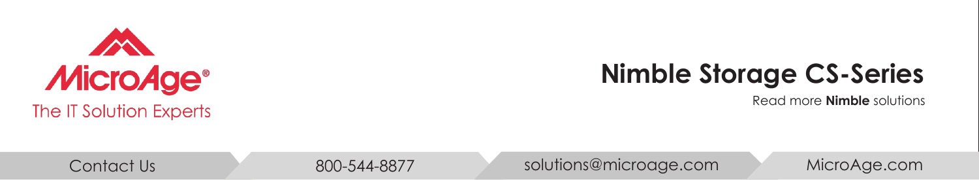

## **Nimble Storage CS-Series**

Read more **[Nimble](http://www.microage.com/partners/nimble-storage)** solutions







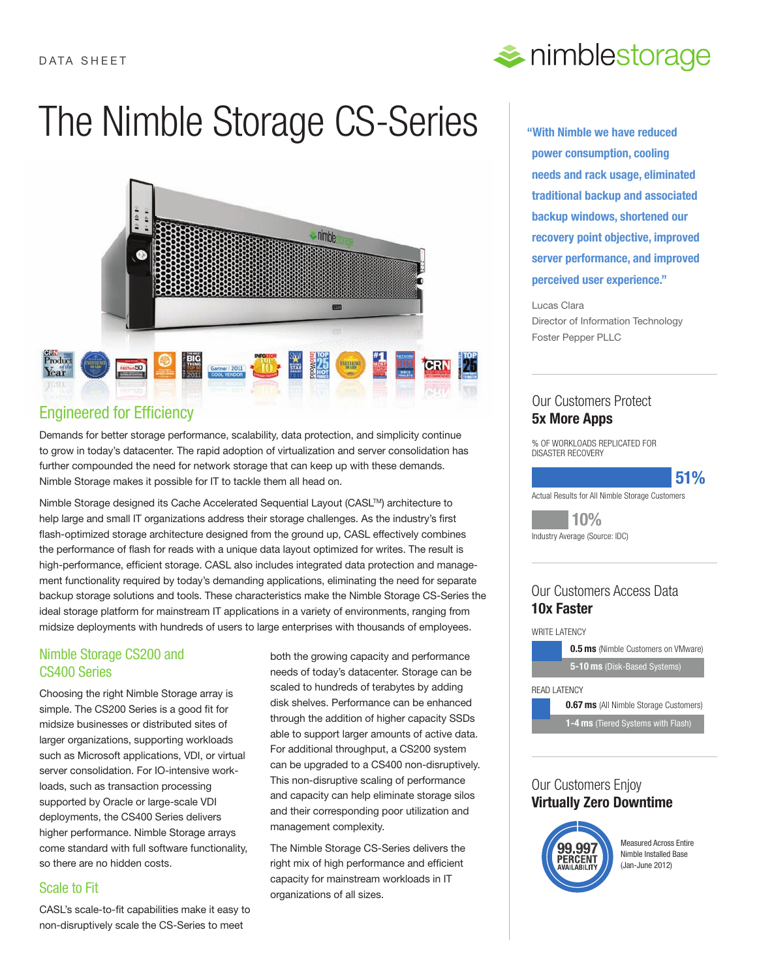# The Nimble Storage CS-Series



## Engineered for Efficiency

Demands for better storage performance, scalability, data protection, and simplicity continue to grow in today's datacenter. The rapid adoption of virtualization and server consolidation has further compounded the need for network storage that can keep up with these demands. Nimble Storage makes it possible for IT to tackle them all head on.

Nimble Storage designed its Cache Accelerated Sequential Layout (CASL™) architecture to help large and small IT organizations address their storage challenges. As the industry's first flash-optimized storage architecture designed from the ground up, CASL effectively combines the performance of flash for reads with a unique data layout optimized for writes. The result is high-performance, efficient storage. CASL also includes integrated data protection and management functionality required by today's demanding applications, eliminating the need for separate backup storage solutions and tools. These characteristics make the Nimble Storage CS-Series the ideal storage platform for mainstream IT applications in a variety of environments, ranging from midsize deployments with hundreds of users to large enterprises with thousands of employees.

## Nimble Storage CS200 and CS400 Series

Choosing the right Nimble Storage array is simple. The CS200 Series is a good fit for midsize businesses or distributed sites of larger organizations, supporting workloads such as Microsoft applications, VDI, or virtual server consolidation. For IO-intensive workloads, such as transaction processing supported by Oracle or large-scale VDI deployments, the CS400 Series delivers higher performance. Nimble Storage arrays come standard with full software functionality, so there are no hidden costs.

## Scale to Fit

CASL's scale-to-fit capabilities make it easy to non-disruptively scale the CS-Series to meet

both the growing capacity and performance needs of today's datacenter. Storage can be scaled to hundreds of terabytes by adding disk shelves. Performance can be enhanced through the addition of higher capacity SSDs able to support larger amounts of active data. For additional throughput, a CS200 system can be upgraded to a CS400 non-disruptively. This non-disruptive scaling of performance and capacity can help eliminate storage silos and their corresponding poor utilization and management complexity.

The Nimble Storage CS-Series delivers the right mix of high performance and efficient capacity for mainstream workloads in IT organizations of all sizes.



**"With Nimble we have reduced power consumption, cooling needs and rack usage, eliminated traditional backup and associated backup windows, shortened our recovery point objective, improved server performance, and improved perceived user experience."**

Lucas Clara Director of Information Technology Foster Pepper PLLC

## Our Customers Protect **5x More Apps**

% OF WORKLOADS REPLICATED FOR DISASTER RECOVERY

#### **51%** % OF WORKLOADS REPLICATED FOR

Actual Results for All Nimble Storage Customers DISASTER RECOVERY

**10%** Industry Average (Source: IDC)  $\blacksquare$   $\blacksquare$   $\blacksquare$   $\blacksquare$   $\blacksquare$ 

#### 10x Faster **0.5 ms** (Nimble Customers on VMware) Our Customers Access Data

#### WRITE LATENCY

Latency



#### Our Customers Enjoy **Software Upgrades that are Non-Disruptive Virtually Zero Downtime**



**Measured Across Entire** Nimble Installed Base  $\sqrt{(Jan-June 2012)}$